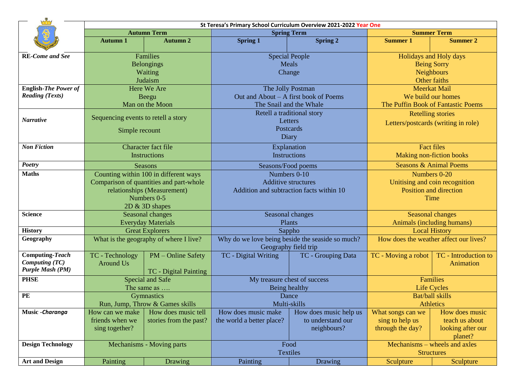|                          | St Teresa's Primary School Curriculum Overview 2021-2022 Year One |                                         |                                          |                                                  |                                        |                                  |  |  |  |
|--------------------------|-------------------------------------------------------------------|-----------------------------------------|------------------------------------------|--------------------------------------------------|----------------------------------------|----------------------------------|--|--|--|
|                          | <b>Autumn Term</b>                                                |                                         | <b>Spring Term</b>                       |                                                  | <b>Summer Term</b>                     |                                  |  |  |  |
|                          | <b>Autumn 1</b>                                                   | <b>Autumn 2</b>                         | <b>Spring 1</b>                          | <b>Spring 2</b>                                  | <b>Summer 1</b>                        | <b>Summer 2</b>                  |  |  |  |
| <b>RE-Come and See</b>   | Families                                                          |                                         | <b>Special People</b>                    |                                                  | Holidays and Holy days                 |                                  |  |  |  |
|                          | <b>Belongings</b>                                                 |                                         | Meals                                    |                                                  | <b>Being Sorry</b>                     |                                  |  |  |  |
|                          | Waiting                                                           |                                         | Change                                   |                                                  | <b>Neighbours</b>                      |                                  |  |  |  |
|                          | Judaism                                                           |                                         |                                          |                                                  | Other faiths                           |                                  |  |  |  |
| English-The Power of     | Here We Are                                                       |                                         | The Jolly Postman                        |                                                  | <b>Meerkat Mail</b>                    |                                  |  |  |  |
| <b>Reading (Texts)</b>   | Beegu                                                             |                                         | Out and About – A first book of Poems    |                                                  | We build our homes                     |                                  |  |  |  |
|                          |                                                                   | Man on the Moon                         | The Snail and the Whale                  |                                                  | The Puffin Book of Fantastic Poems     |                                  |  |  |  |
|                          |                                                                   |                                         | Retell a traditional story               |                                                  | <b>Retelling stories</b>               |                                  |  |  |  |
| <b>Narrative</b>         | Sequencing events to retell a story                               |                                         | Letters                                  |                                                  | Letters/postcards (writing in role)    |                                  |  |  |  |
|                          | Simple recount                                                    |                                         | Postcards                                |                                                  |                                        |                                  |  |  |  |
|                          |                                                                   |                                         | Diary                                    |                                                  |                                        |                                  |  |  |  |
| <b>Non Fiction</b>       | Character fact file                                               |                                         | Explanation                              |                                                  | <b>Fact files</b>                      |                                  |  |  |  |
|                          | Instructions                                                      |                                         | <b>Instructions</b>                      |                                                  | <b>Making non-fiction books</b>        |                                  |  |  |  |
| <b>Poetry</b>            | <b>Seasons</b>                                                    |                                         | Seasons/Food poems                       |                                                  | <b>Seasons &amp; Animal Poems</b>      |                                  |  |  |  |
| <b>Maths</b>             | Counting within 100 in different ways                             |                                         | Numbers 0-10                             |                                                  | Numbers 0-20                           |                                  |  |  |  |
|                          |                                                                   | Comparison of quantities and part-whole | <b>Additive structures</b>               |                                                  | Unitising and coin recognition         |                                  |  |  |  |
|                          |                                                                   | relationships (Measurement)             | Addition and subtraction facts within 10 |                                                  | Position and direction                 |                                  |  |  |  |
|                          |                                                                   | Numbers 0-5                             |                                          |                                                  | Time                                   |                                  |  |  |  |
|                          |                                                                   | $2D \& 3D$ shapes                       |                                          |                                                  |                                        |                                  |  |  |  |
| <b>Science</b>           |                                                                   | Seasonal changes                        | Seasonal changes                         |                                                  | <b>Seasonal changes</b>                |                                  |  |  |  |
|                          | <b>Everyday Materials</b>                                         |                                         | Plants                                   |                                                  | Animals (including humans)             |                                  |  |  |  |
| <b>History</b>           |                                                                   | <b>Great Explorers</b>                  | Sappho                                   |                                                  | <b>Local History</b>                   |                                  |  |  |  |
| Geography                |                                                                   | What is the geography of where I live?  |                                          | Why do we love being beside the seaside so much? | How does the weather affect our lives? |                                  |  |  |  |
|                          |                                                                   |                                         |                                          | Geography field trip                             |                                        |                                  |  |  |  |
| <b>Computing-Teach</b>   | TC - Technology                                                   | PM - Online Safety                      | TC - Digital Writing                     | TC - Grouping Data                               | TC - Moving a robot                    | TC - Introduction to             |  |  |  |
| <b>Computing (TC)</b>    | <b>Around Us</b>                                                  |                                         |                                          |                                                  |                                        | Animation                        |  |  |  |
| <b>Purple Mash (PM)</b>  |                                                                   | TC - Digital Painting                   |                                          |                                                  |                                        |                                  |  |  |  |
| <b>PHSE</b>              | <b>Special and Safe</b>                                           |                                         | My treasure chest of success             |                                                  | <b>Families</b>                        |                                  |  |  |  |
|                          | The same as                                                       |                                         | Being healthy                            |                                                  | <b>Life Cycles</b>                     |                                  |  |  |  |
| PE                       | <b>Gymnastics</b>                                                 |                                         | Dance                                    |                                                  | Bat/ball skills<br><b>Athletics</b>    |                                  |  |  |  |
|                          |                                                                   | Run, Jump, Throw & Games skills         |                                          | Multi-skills                                     |                                        |                                  |  |  |  |
| Music - Charanga         | How can we make                                                   | How does music tell                     | How does music make                      | How does music help us                           | What songs can we                      | How does music<br>teach us about |  |  |  |
|                          | friends when we                                                   | stories from the past?                  | the world a better place?                | to understand our                                | sing to help us                        |                                  |  |  |  |
|                          | sing together?                                                    |                                         |                                          | neighbours?                                      | through the day?                       | looking after our<br>planet?     |  |  |  |
| <b>Design Technology</b> | Mechanisms - Moving parts                                         |                                         | Food                                     |                                                  | Mechanisms – wheels and axles          |                                  |  |  |  |
|                          |                                                                   |                                         | <b>Textiles</b>                          |                                                  | <b>Structures</b>                      |                                  |  |  |  |
| <b>Art and Design</b>    | Painting                                                          | Drawing                                 | Painting                                 | Drawing                                          | Sculpture                              | Sculpture                        |  |  |  |